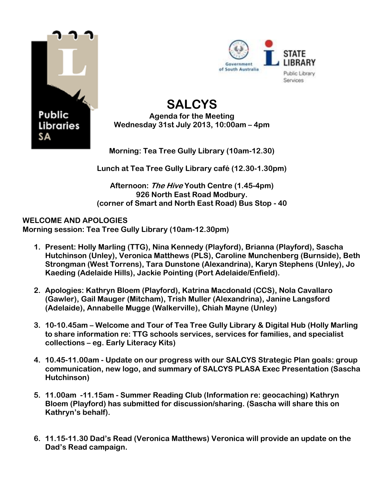



## **SALCYS Agenda for the Meeting Wednesday 31st July 2013, 10:00am – 4pm**

**Morning: Tea Tree Gully Library (10am-12.30)** 

**Lunch at Tea Tree Gully Library café (12.30-1.30pm)**

**Afternoon: The Hive Youth Centre (1.45-4pm) 926 North East Road Modbury. (corner of Smart and North East Road) Bus Stop - 40**

## **WELCOME AND APOLOGIES**

**Morning session: Tea Tree Gully Library (10am-12.30pm)**

- **1. Present: Holly Marling (TTG), Nina Kennedy (Playford), Brianna (Playford), Sascha Hutchinson (Unley), Veronica Matthews (PLS), Caroline Munchenberg (Burnside), Beth Strongman (West Torrens), Tara Dunstone (Alexandrina), Karyn Stephens (Unley), Jo Kaeding (Adelaide Hills), Jackie Pointing (Port Adelaide/Enfield).**
- **2. Apologies: Kathryn Bloem (Playford), Katrina Macdonald (CCS), Nola Cavallaro (Gawler), Gail Mauger (Mitcham), Trish Muller (Alexandrina), Janine Langsford (Adelaide), Annabelle Mugge (Walkerville), Chiah Mayne (Unley)**
- **3. 10-10.45am – Welcome and Tour of Tea Tree Gully Library & Digital Hub (Holly Marling to share information re: TTG schools services, services for families, and specialist collections – eg. Early Literacy Kits)**
- **4. 10.45-11.00am - Update on our progress with our SALCYS Strategic Plan goals: group communication, new logo, and summary of SALCYS PLASA Exec Presentation (Sascha Hutchinson)**
- **5. 11.00am -11.15am - Summer Reading Club (Information re: geocaching) Kathryn Bloem (Playford) has submitted for discussion/sharing. (Sascha will share this on Kathryn's behalf).**
- **6. 11.15-11.30 Dad's Read (Veronica Matthews) Veronica will provide an update on the Dad's Read campaign.**